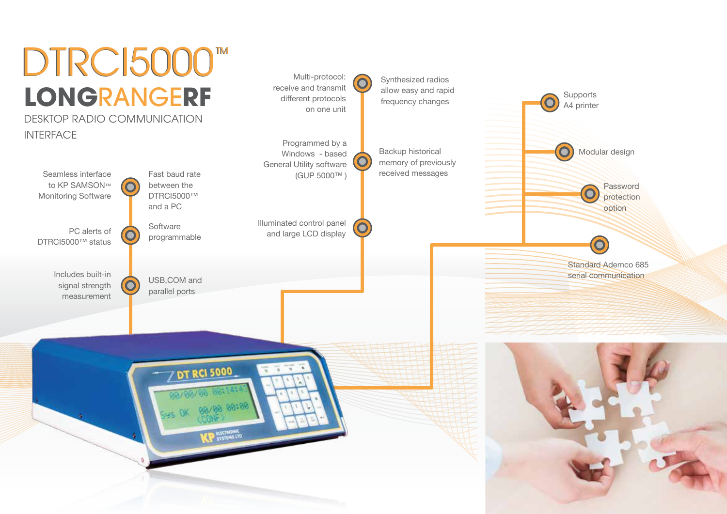